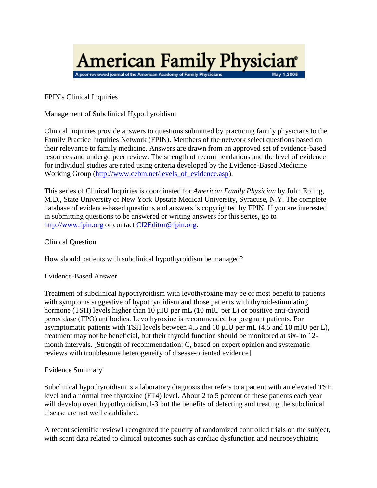

FPIN's Clinical Inquiries

Management of Subclinical Hypothyroidism

Clinical Inquiries provide answers to questions submitted by practicing family physicians to the Family Practice Inquiries Network (FPIN). Members of the network select questions based on their relevance to family medicine. Answers are drawn from an approved set of evidence-based resources and undergo peer review. The strength of recommendations and the level of evidence for individual studies are rated using criteria developed by the Evidence-Based Medicine Working Group [\(http://www.cebm.net/levels\\_of\\_evidence.asp\)](http://www.cebm.net/levels_of_evidence.asp).

This series of Clinical Inquiries is coordinated for *American Family Physician* by John Epling, M.D., State University of New York Upstate Medical University, Syracuse, N.Y. The complete database of evidence-based questions and answers is copyrighted by FPIN. If you are interested in submitting questions to be answered or writing answers for this series, go to [http://www.fpin.org](http://www.fpin.org/) or contact [CI2Editor@fpin.org.](mailto:CI2Editor@fpin.org)

Clinical Question

How should patients with subclinical hypothyroidism be managed?

Evidence-Based Answer

Treatment of subclinical hypothyroidism with levothyroxine may be of most benefit to patients with symptoms suggestive of hypothyroidism and those patients with thyroid-stimulating hormone (TSH) levels higher than 10 µIU per mL (10 mIU per L) or positive anti-thyroid peroxidase (TPO) antibodies. Levothyroxine is recommended for pregnant patients. For asymptomatic patients with TSH levels between 4.5 and 10 µIU per mL (4.5 and 10 mIU per L), treatment may not be beneficial, but their thyroid function should be monitored at six- to 12 month intervals. [Strength of recommendation: C, based on expert opinion and systematic reviews with troublesome heterogeneity of disease-oriented evidence]

## Evidence Summary

Subclinical hypothyroidism is a laboratory diagnosis that refers to a patient with an elevated TSH level and a normal free thyroxine (FT4) level. About 2 to 5 percent of these patients each year will develop overt hypothyroidism, 1-3 but the benefits of detecting and treating the subclinical disease are not well established.

A recent scientific review1 recognized the paucity of randomized controlled trials on the subject, with scant data related to clinical outcomes such as cardiac dysfunction and neuropsychiatric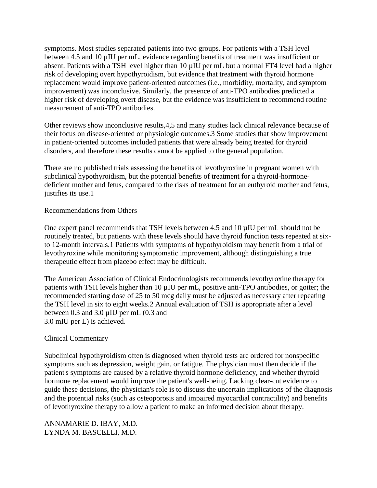symptoms. Most studies separated patients into two groups. For patients with a TSH level between 4.5 and 10 µIU per mL, evidence regarding benefits of treatment was insufficient or absent. Patients with a TSH level higher than 10 µIU per mL but a normal FT4 level had a higher risk of developing overt hypothyroidism, but evidence that treatment with thyroid hormone replacement would improve patient-oriented outcomes (i.e., morbidity, mortality, and symptom improvement) was inconclusive. Similarly, the presence of anti-TPO antibodies predicted a higher risk of developing overt disease, but the evidence was insufficient to recommend routine measurement of anti-TPO antibodies.

Other reviews show inconclusive results,4,5 and many studies lack clinical relevance because of their focus on disease-oriented or physiologic outcomes.3 Some studies that show improvement in patient-oriented outcomes included patients that were already being treated for thyroid disorders, and therefore these results cannot be applied to the general population.

There are no published trials assessing the benefits of levothyroxine in pregnant women with subclinical hypothyroidism, but the potential benefits of treatment for a thyroid-hormonedeficient mother and fetus, compared to the risks of treatment for an euthyroid mother and fetus, justifies its use.1

## Recommendations from Others

One expert panel recommends that TSH levels between 4.5 and 10 µIU per mL should not be routinely treated, but patients with these levels should have thyroid function tests repeated at sixto 12-month intervals.1 Patients with symptoms of hypothyroidism may benefit from a trial of levothyroxine while monitoring symptomatic improvement, although distinguishing a true therapeutic effect from placebo effect may be difficult.

The American Association of Clinical Endocrinologists recommends levothyroxine therapy for patients with TSH levels higher than 10 µIU per mL, positive anti-TPO antibodies, or goiter; the recommended starting dose of 25 to 50 mcg daily must be adjusted as necessary after repeating the TSH level in six to eight weeks.2 Annual evaluation of TSH is appropriate after a level between 0.3 and 3.0 µIU per mL (0.3 and 3.0 mIU per L) is achieved.

## Clinical Commentary

Subclinical hypothyroidism often is diagnosed when thyroid tests are ordered for nonspecific symptoms such as depression, weight gain, or fatigue. The physician must then decide if the patient's symptoms are caused by a relative thyroid hormone deficiency, and whether thyroid hormone replacement would improve the patient's well-being. Lacking clear-cut evidence to guide these decisions, the physician's role is to discuss the uncertain implications of the diagnosis and the potential risks (such as osteoporosis and impaired myocardial contractility) and benefits of levothyroxine therapy to allow a patient to make an informed decision about therapy.

ANNAMARIE D. IBAY, M.D. LYNDA M. BASCELLI, M.D.